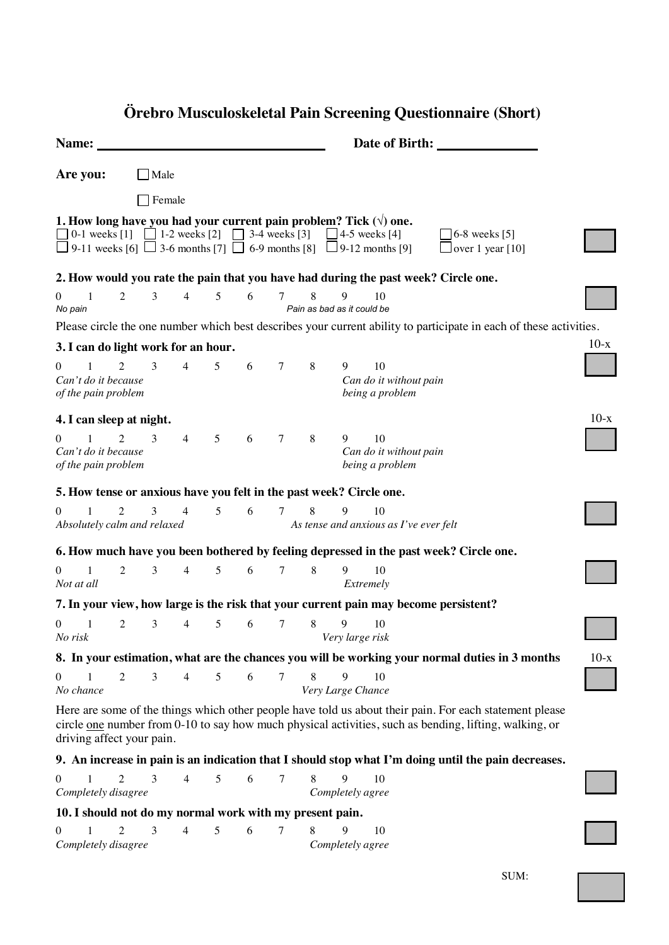| Name:                                                                                                                                                                                                                                                                                                           |  |                |                |                |   |   |                | Date of Birth:                  |                       |                                                 |                                                                                      |        |
|-----------------------------------------------------------------------------------------------------------------------------------------------------------------------------------------------------------------------------------------------------------------------------------------------------------------|--|----------------|----------------|----------------|---|---|----------------|---------------------------------|-----------------------|-------------------------------------------------|--------------------------------------------------------------------------------------|--------|
| Are you:                                                                                                                                                                                                                                                                                                        |  |                | Male           |                |   |   |                |                                 |                       |                                                 |                                                                                      |        |
|                                                                                                                                                                                                                                                                                                                 |  |                | Female         |                |   |   |                |                                 |                       |                                                 |                                                                                      |        |
| 1. How long have you had your current pain problem? Tick $(\forall)$ one.<br>$\Box$ 0-1 weeks [1] $\Box$ 1-2 weeks [2] $\Box$ 3-4 weeks [3] $\Box$ 4-5 weeks [4]<br>$\Box$ 6-8 weeks [5]<br>$\Box$ 9-11 weeks [6] $\Box$ 3-6 months [7] $\Box$ 6-9 months [8] $\Box$ 9-12 months [9]<br>$\Box$ over 1 year [10] |  |                |                |                |   |   |                |                                 |                       |                                                 |                                                                                      |        |
|                                                                                                                                                                                                                                                                                                                 |  |                |                |                |   |   |                |                                 |                       |                                                 | 2. How would you rate the pain that you have had during the past week? Circle one.   |        |
| $\overline{1}$<br>$\boldsymbol{0}$<br>No pain                                                                                                                                                                                                                                                                   |  | $\overline{2}$ | 3              | $\overline{4}$ | 5 | 6 | 7              | 8<br>Pain as bad as it could be | 9                     | 10                                              |                                                                                      |        |
| Please circle the one number which best describes your current ability to participate in each of these activities.                                                                                                                                                                                              |  |                |                |                |   |   |                |                                 |                       |                                                 |                                                                                      |        |
| $10-x$<br>3. I can do light work for an hour.                                                                                                                                                                                                                                                                   |  |                |                |                |   |   |                |                                 |                       |                                                 |                                                                                      |        |
| $\mathbf{0}$<br>$\mathbf{1}$<br>Can't do it because<br>of the pain problem                                                                                                                                                                                                                                      |  | $\overline{2}$ | 3              | $\overline{4}$ | 5 | 6 | 7              | 8                               | 9                     | 10<br>Can do it without pain<br>being a problem |                                                                                      |        |
| 4. I can sleep at night.                                                                                                                                                                                                                                                                                        |  |                |                |                |   |   |                |                                 |                       |                                                 |                                                                                      | $10-x$ |
| $\overline{1}$<br>$\overline{0}$<br>Can't do it because<br>of the pain problem                                                                                                                                                                                                                                  |  | $\overline{2}$ | 3              | $\overline{4}$ | 5 | 6 | $\tau$         | 8                               | 9                     | 10<br>Can do it without pain<br>being a problem |                                                                                      |        |
| 5. How tense or anxious have you felt in the past week? Circle one.                                                                                                                                                                                                                                             |  |                |                |                |   |   |                |                                 |                       |                                                 |                                                                                      |        |
| $\Omega$<br>1                                                                                                                                                                                                                                                                                                   |  | $\overline{2}$ | 3              | $\overline{4}$ | 5 | 6 | 7              | 8                               | 9                     | 10                                              |                                                                                      |        |
| Absolutely calm and relaxed<br>As tense and anxious as I've ever felt                                                                                                                                                                                                                                           |  |                |                |                |   |   |                |                                 |                       |                                                 |                                                                                      |        |
| 6. How much have you been bothered by feeling depressed in the past week? Circle one.                                                                                                                                                                                                                           |  |                |                |                |   |   |                |                                 |                       |                                                 |                                                                                      |        |
| $\theta$<br>1<br>Not at all                                                                                                                                                                                                                                                                                     |  | $\overline{2}$ | 3 <sup>7</sup> | $\overline{4}$ | 5 | 6 | $\tau$         | $\,8\,$                         | 9<br>Extremely        | 10                                              |                                                                                      |        |
|                                                                                                                                                                                                                                                                                                                 |  |                |                |                |   |   |                |                                 |                       |                                                 | 7. In your view, how large is the risk that your current pain may become persistent? |        |
| $\boldsymbol{0}$<br>1<br>No risk                                                                                                                                                                                                                                                                                |  | 2              | 3              | $\overline{4}$ | 5 | 6 | 7              | $\,8\,$                         | 9<br>Very large risk  | 10                                              |                                                                                      |        |
| $10-x$<br>8. In your estimation, what are the chances you will be working your normal duties in 3 months                                                                                                                                                                                                        |  |                |                |                |   |   |                |                                 |                       |                                                 |                                                                                      |        |
| 0<br>No chance                                                                                                                                                                                                                                                                                                  |  | $\overline{2}$ | 3              | $\overline{4}$ | 5 | 6 | 7              | 8<br>Very Large Chance          | 9                     | 10                                              |                                                                                      |        |
| Here are some of the things which other people have told us about their pain. For each statement please<br>circle <u>one</u> number from 0-10 to say how much physical activities, such as bending, lifting, walking, or<br>driving affect your pain.                                                           |  |                |                |                |   |   |                |                                 |                       |                                                 |                                                                                      |        |
| 9. An increase in pain is an indication that I should stop what I'm doing until the pain decreases.                                                                                                                                                                                                             |  |                |                |                |   |   |                |                                 |                       |                                                 |                                                                                      |        |
| 0<br>Completely disagree                                                                                                                                                                                                                                                                                        |  | $\mathfrak{D}$ | 3              | $\overline{4}$ | 5 | 6 | $\overline{7}$ | 8                               | 9<br>Completely agree | 10                                              |                                                                                      |        |
| 10. I should not do my normal work with my present pain.                                                                                                                                                                                                                                                        |  |                |                |                |   |   |                |                                 |                       |                                                 |                                                                                      |        |
| 0<br>Completely disagree                                                                                                                                                                                                                                                                                        |  |                | 3              | 4              | 5 | 6 | 7              | 8                               | 9<br>Completely agree | 10                                              |                                                                                      |        |

## **Örebro Musculoskeletal Pain Screening Questionnaire (Short)**